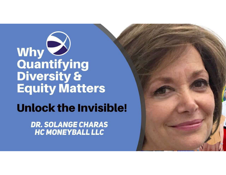# 

### **Unlock the Invisible!**

**DR. SOLANGE CHARAS HC MONEYBALL LLC**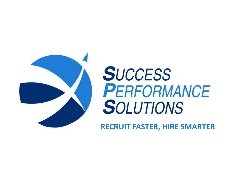

# **SUCCESS** PERFORMANCE **SOLUTIONS**

RECRUIT FASTER, HIRE SMARTER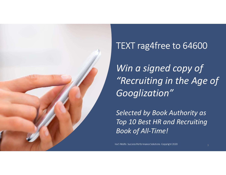

### TEXT rag4free to 64600

Win a signed copy of "Recruiting in the Age of Googlization"

Selected by Book Authority as Top 10 Best HR and Recruiting Book of All-Time!

Ira S Wolfe. Success Performance Solutions. Copyright 2020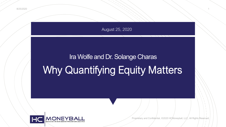

# Ira Wolfe and Dr. Solange Charas Why Quantifying Equity Matters



Propriétary and Confidential, ©2020 HCMoneyball, LLC, All Rights Reserved.

1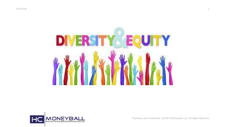

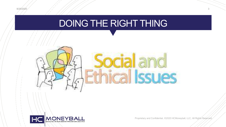

### DOING THE RIGHT THING



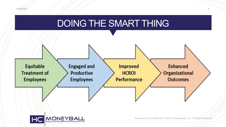





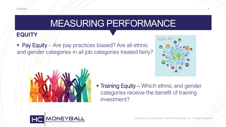

### MEASURING PERFORMANCE

### **EQUITY**

 $\blacksquare$  Pay Equity – Are pay practices biased? Are all ethnic and gender categories in all job categories treated fairly?





**Training Equity – Which ethnic and gender** categories receive the benefit of training investment?

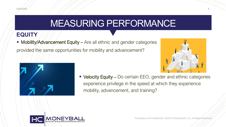# MEASURING PERFORMANCE

### **EQUITY**

**Mobility/Advancement Equity – Are all ethnic and gender categories** provided the same opportunities for mobility and advancement?





• Velocity Equity – Do certain EEO, gender and ethnic categories experience privilege in the speed at which they experience mobility, advancement, and training?

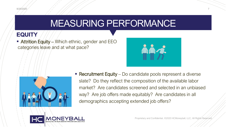# MEASURING PERFORMANCE

### **EQUITY EQUITY**

**- Attrition Equity** – Which ethnic, gender and  $EEO$ categories leave and at what pace?





**Recruitment Equity** – Do candidate pools represent a diverse slate? Do they reflect the composition of the available labor market? Are candidates screened and selected in an unbiased way? Are job offers made equitably? Are candidates in all demographics accepting extended job offers?

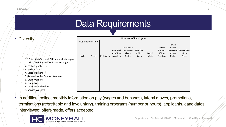### Data Requirements

In addition, collect monthly information on pay (wages and bonuses), lateral moves, promotions, terminations (regrettable and involuntary), training programs (number or hours), applicants, candidates interviewed, offers made, offers accepted

 $1111$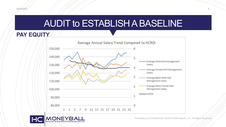# AUDIT to ESTABLISH A BASELINE

**PAY EQUITY**



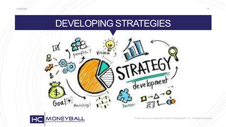### DEVELOPING STRATEGIES



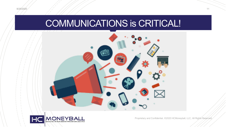

# COMMUNICATIONS is CRITICAL!